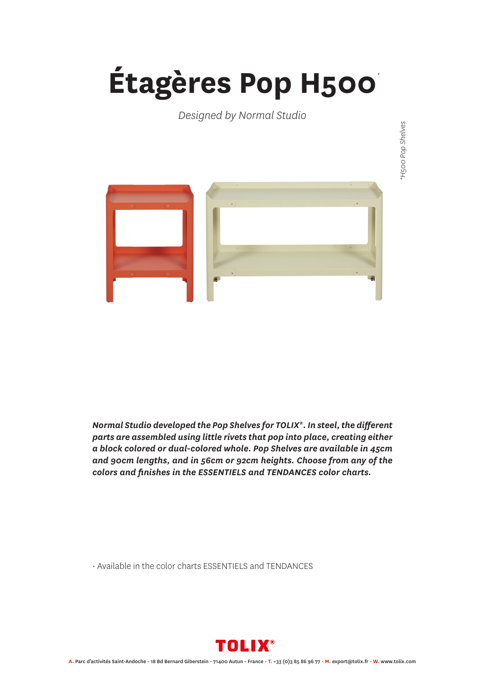## **Étagères Pop H500** *\**

## *Designed by Normal Studio*



*Normal Studio developed the Pop Shelves for TOLIX®. In steel, the different parts are assembled using little rivets that pop into place, creating either a block colored or dual-colored whole. Pop Shelves are available in 45cm and 90cm lengths, and in 56cm or 92cm heights. Choose from any of the colors and finishes in the ESSENTIELS and TENDANCES color charts.*

• Available in the color charts ESSENTIELS and TENDANCES